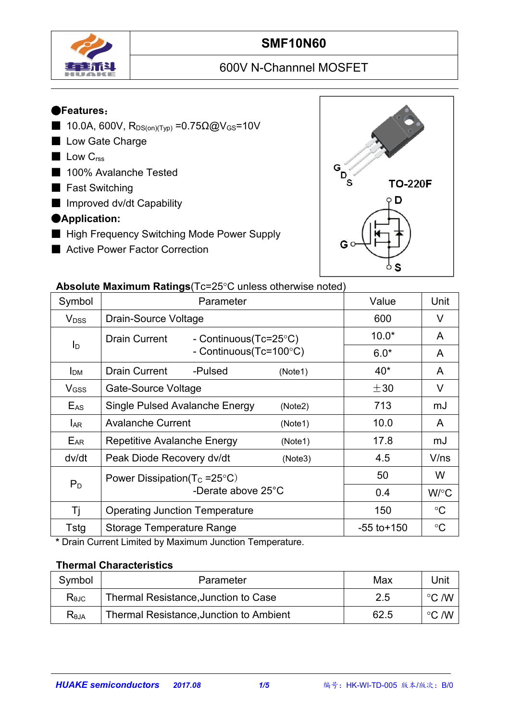

# **SMF10N60**

# 600V N-Channnel MOSFET

#### ●**Features**:

- 10.0A, 600V,  $R_{DS(on)(Typ)} = 0.75Ω@V_{GS} = 10V$
- Low Gate Charge
- Low C<sub>rss</sub>
- 100% Avalanche Tested
- Fast Switching
- Improved dv/dt Capability

#### ●**Application:**

- High Frequency Switching Mode Power Supply
- Active Power Factor Correction



#### **Absolute Maximum Ratings** (Tc=25°C unless otherwise noted)

|                         | $\sim$ . The measurement is a consequence of the control increase of the control increase of the control increase of the control increase of the control increase of the control increase of the control increase of the contro |                 |                 |
|-------------------------|---------------------------------------------------------------------------------------------------------------------------------------------------------------------------------------------------------------------------------|-----------------|-----------------|
| Symbol                  | Parameter                                                                                                                                                                                                                       | Value           | Unit            |
| <b>V</b> <sub>DSS</sub> | Drain-Source Voltage                                                                                                                                                                                                            | 600             | $\vee$          |
|                         | Drain Current<br>- Continuous(Tc=25°C)                                                                                                                                                                                          | $10.0*$         | A               |
| $I_D$                   | - Continuous(Tc=100°C)                                                                                                                                                                                                          | $6.0*$          | A               |
| I <sub>DM</sub>         | <b>Drain Current</b><br>-Pulsed<br>(Note1)                                                                                                                                                                                      | $40^*$          | A               |
| V <sub>GSS</sub>        | Gate-Source Voltage                                                                                                                                                                                                             | $\pm 30$        | V               |
| $E_{AS}$                | Single Pulsed Avalanche Energy<br>(Note2)                                                                                                                                                                                       | 713             | mJ              |
| <b>LAR</b>              | <b>Avalanche Current</b><br>(Note1)                                                                                                                                                                                             | 10.0            | $\mathsf{A}$    |
| EAR                     | Repetitive Avalanche Energy<br>(Note1)                                                                                                                                                                                          | 17.8            | mJ              |
| dv/dt                   | Peak Diode Recovery dv/dt<br>(Note3)                                                                                                                                                                                            | 4.5             | V/ns            |
|                         | Power Dissipation( $T_c = 25^{\circ}C$ )                                                                                                                                                                                        | 50              | W               |
| $P_D$                   | -Derate above 25°C                                                                                                                                                                                                              | 0.4             | W/°C            |
| Τj                      | <b>Operating Junction Temperature</b>                                                                                                                                                                                           | 150             | $\rm ^{\circ}C$ |
| Tstg                    | <b>Storage Temperature Range</b>                                                                                                                                                                                                | $-55$ to $+150$ | $\rm ^{\circ}C$ |

**\*** Drain Current Limited by Maximum Junction Temperature.

#### **Thermal Characteristics**

| Symbol         | Parameter                               | Max  | Unit            |  |
|----------------|-----------------------------------------|------|-----------------|--|
| $R_{\theta$ JC | Thermal Resistance, Junction to Case    |      | こ /W<br>$\circ$ |  |
| $R_{\theta$ JA | Thermal Resistance, Junction to Ambient | 62.5 | こ /W<br>$\circ$ |  |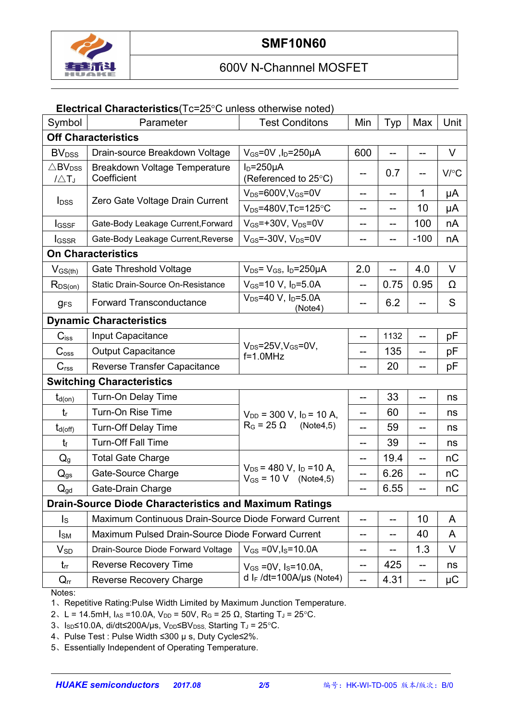

#### **Electrical Characteristics**(Tc=25°C unless otherwise noted)

| Symbol                                            | Parameter                                                     | <b>Test Conditons</b>                                                 | Min   | Typ  | Max    | Unit    |  |
|---------------------------------------------------|---------------------------------------------------------------|-----------------------------------------------------------------------|-------|------|--------|---------|--|
| <b>Off Characteristics</b>                        |                                                               |                                                                       |       |      |        |         |  |
| <b>BV</b> <sub>DSS</sub>                          | Drain-source Breakdown Voltage                                | $V_{GS}$ =0V, l <sub>D</sub> =250µA                                   | 600   |      |        | V       |  |
| $\triangle$ BV <sub>DSS</sub><br>$1\triangle T_J$ | Breakdown Voltage Temperature<br>Coefficient                  | $ID=250µA$<br>(Referenced to 25°C)                                    | $- -$ | 0.7  |        | V/C     |  |
|                                                   | Zero Gate Voltage Drain Current                               | $V_{DS} = 600V$ , $V_{GS} = 0V$                                       | --    | $-$  | 1      | μA      |  |
| <b>I</b> <sub>DSS</sub>                           |                                                               | $V_{DS} = 480V$ , Tc=125°C                                            | --    | --   | 10     | μA      |  |
| <b>I</b> GSSF                                     | Gate-Body Leakage Current, Forward                            | $V_{GS}$ =+30V, $V_{DS}$ =0V                                          | --    | --   | 100    | nA      |  |
| <b>I</b> GSSR                                     | Gate-Body Leakage Current, Reverse                            | $V_{GS} = -30V$ , $V_{DS} = 0V$                                       | --    | --   | $-100$ | nA      |  |
| <b>On Characteristics</b>                         |                                                               |                                                                       |       |      |        |         |  |
| $V_{GS(th)}$                                      | <b>Gate Threshold Voltage</b>                                 | $V_{DS} = V_{GS}$ , $I_D = 250 \mu A$                                 | 2.0   |      | 4.0    | $\vee$  |  |
| $R_{DS(on)}$                                      | Static Drain-Source On-Resistance                             | $V_{GS}$ =10 V, $I_D$ =5.0A                                           | $- -$ | 0.75 | 0.95   | Ω       |  |
| <b>gFS</b>                                        | Forward Transconductance                                      | $V_{DS} = 40 V$ , $I_D = 5.0 A$<br>(Note4)                            | $-$   | 6.2  |        | S       |  |
|                                                   | <b>Dynamic Characteristics</b>                                |                                                                       |       |      |        |         |  |
| $C$ <sub>iss</sub>                                | Input Capacitance                                             |                                                                       | --    | 1132 |        | рF      |  |
| C <sub>oss</sub>                                  | <b>Output Capacitance</b>                                     | $V_{DS} = 25V$ , $V_{GS} = 0V$ ,<br>$f=1.0$ MHz                       | --    | 135  | --     | рF      |  |
| C <sub>rss</sub>                                  | Reverse Transfer Capacitance                                  |                                                                       | --    | 20   |        | pF      |  |
|                                                   | <b>Switching Characteristics</b>                              |                                                                       |       |      |        |         |  |
| $t_{d(on)}$                                       | Turn-On Delay Time                                            |                                                                       | --    | 33   |        | ns      |  |
| $t_{r}$                                           | Turn-On Rise Time                                             | $V_{DD}$ = 300 V, $I_D$ = 10 A,                                       |       | 60   |        | ns      |  |
| $t_{d(\text{off})}$                               | Turn-Off Delay Time                                           | $R_G = 25 \Omega$<br>(Note4,5)                                        | --    | 59   | --     | ns      |  |
| $t_{\rm f}$                                       | <b>Turn-Off Fall Time</b>                                     |                                                                       | --    | 39   |        | ns      |  |
| $Q_{g}$                                           | <b>Total Gate Charge</b>                                      |                                                                       | --    | 19.4 | --     | nC      |  |
| $Q_{gs}$                                          | Gate-Source Charge                                            | $V_{DS}$ = 480 V, I <sub>D</sub> = 10 A,<br>$V_{GS} = 10 V$ (Note4,5) | --    | 6.26 | --     | nC      |  |
| $Q_{gd}$                                          | Gate-Drain Charge                                             |                                                                       | --    | 6.55 | $-$    | nC      |  |
|                                                   | <b>Drain-Source Diode Characteristics and Maximum Ratings</b> |                                                                       |       |      |        |         |  |
| $\mathsf{I}_\mathsf{S}$                           | Maximum Continuous Drain-Source Diode Forward Current         |                                                                       | --    | --   | 10     | A       |  |
| $I_{SM}$                                          | Maximum Pulsed Drain-Source Diode Forward Current             |                                                                       | $- -$ | $-$  | 40     | A       |  |
| $V_{SD}$                                          | Drain-Source Diode Forward Voltage                            | $V_{GS} = 0V$ , $I_S = 10.0A$                                         | --    | --   | 1.3    | V       |  |
| $t_{rr}$                                          | Reverse Recovery Time                                         | $V_{GS}$ = 0V, $I_S$ = 10.0A,                                         | $- -$ | 425  | $-$    | ns      |  |
| $Q_{rr}$                                          | Reverse Recovery Charge                                       | d I <sub>F</sub> /dt=100A/µs (Note4)                                  | --    | 4.31 | --     | $\mu$ C |  |

Notes:

1、Repetitive Rating:Pulse Width Limited by Maximum Junction Temperature.

2、L = 14.5mH,  $I_{AS}$  = 10.0A,  $V_{DD}$  = 50V, R<sub>G</sub> = 25 Ω, Starting T<sub>J</sub> = 25 °C.

3、Isp≤10.0A, di/dt≤200A/µs, V<sub>DD</sub>≤BV<sub>DSS,</sub> Starting T<sub>J</sub> = 25°C.

4、Pulse Test : Pulse Width ≤300 µ s, Duty Cycle≤2%.

5、Essentially Independent of Operating Temperature.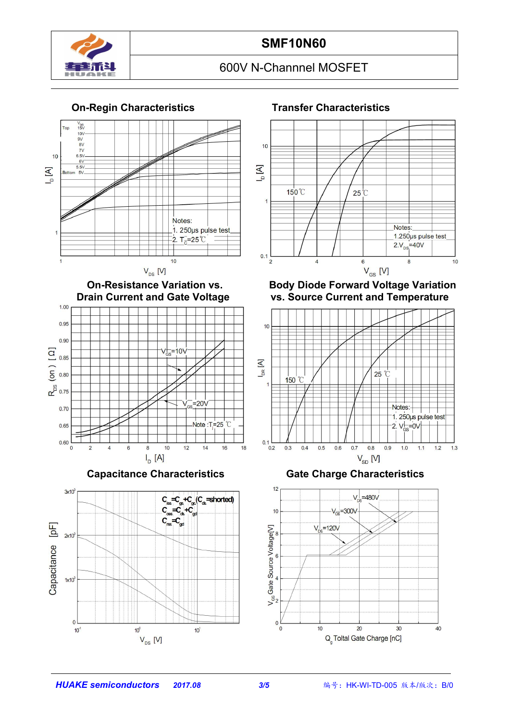

### **On-Regin Characteristics Transfer Characteristics**





**Capacitance Characteristics Gate Charge Characteristics**





**On-Resistance Variation vs. Body Diode Forward Voltage Variation vs.** Source Current and Temperature



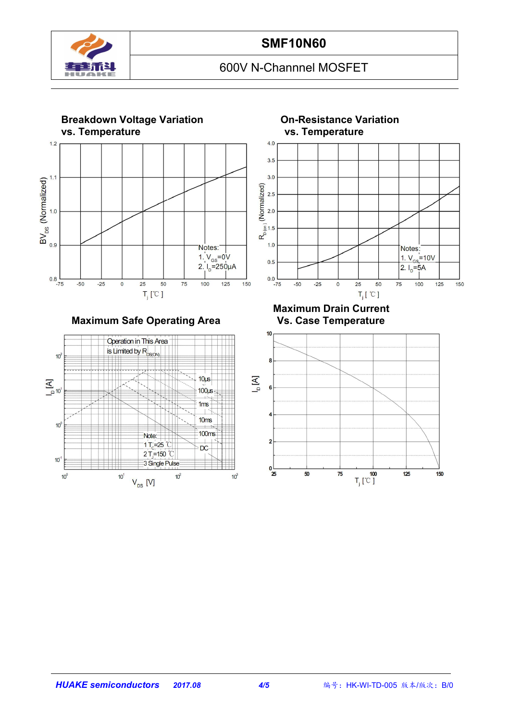